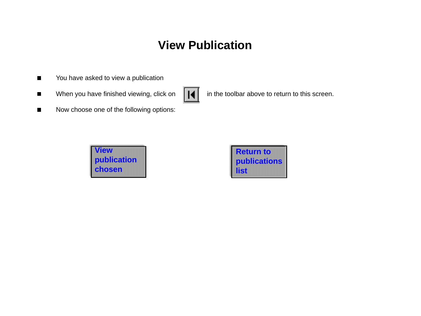## **View Publication**

- You have asked to view a publication  $\blacksquare$
- When you have finished viewing, click on  $\|\cdot\|$  in the toolbar above to return to this screen.  $\blacksquare$



Now choose one of the following options:  $\blacksquare$ 



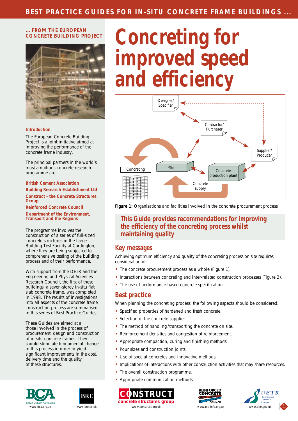#### <span id="page-1-0"></span>**... FROM THE EUROPEAN CONCRETE BUILDING PROJECT**



#### **Introduction**

The European Concrete Building Project is a joint initiative aimed at improving the performance of the concrete frame industry.

The principal partners in the world's most ambitious concrete research programme are:

**British Cement Association Building Research Establishment Ltd Construct - the Concrete Structures Group**

**Reinforced Concrete Council Department of the Environment, Transport and the Regions**

The programme involves the construction of a series of full-sized concrete structures in the Large Building Test Facility at Cardington, where they are being subjected to comprehensive testing of the building process and of their performance.

With support from the DETR and the Engineering and Physical Sciences Research Council, the first of these buildings, a seven-storey in-situ flat slab concrete frame, was completed in 1998. The results of investigations into all aspects of the concrete frame construction process are summarised in this series of Best Practice Guides.

These Guides are aimed at all those involved in the process of procurement, design and construction of in-situ concrete frames. They should stimulate fundamental change in this process in order to yield significant improvements in the cost, delivery time and the quality of these structures.





# **Concreting for improved speed and efficiency**



*Figure 1: Organisations and facilities involved in the concrete procurement process*

#### **This Guide provides recommendations for improving the efficiency of the concreting process whilst maintaining quality**

#### **Key messages**

Achieving optimum efficiency and quality of the concreting process on site requires consideration of:

- The concrete procurement process as a whole (Figure 1).
- Interactions between concreting and inter-related construction processes (Figure 2).
- The use of performance-based concrete specification.

## **Best practice**

When planning the concreting process, the following aspects should be considered:

- Specified properties of hardened and fresh concrete.
- Selection of the concrete supplier.
- The method of handling /transporting the concrete on site.
- Reinforcement densities and congestion of reinforcement.
- Appropriate compaction, curing and finishing methods.
- Pour sizes and construction joints.
- Use of special concretes and innovative methods.
- Implications of interactions with other construction activities that may share resources.
- The overall construction programme.
- Appropriate communication methods.





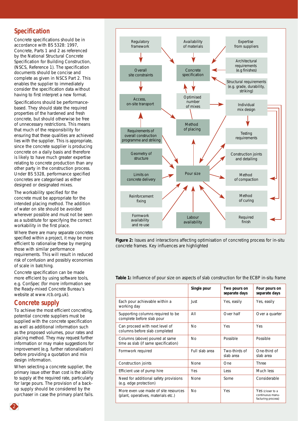## <span id="page-2-0"></span>**Specification**

Concrete specifications should be in accordance with BS 5328: 1997, *Concrete,* Parts 1 and 2 as referenced by the *National Structural Concrete Specification for Building Construction,* (NSCS, Reference 1). The specification documents should be concise and complete as given in NSCS Part 2. This enables the supplier to immediately consider the specification data without having to first interpret a new format.

Specifications should be performancebased. They should state the required properties of the hardened and fresh concrete, but should otherwise be free of unnecessary restrictions. This means that much of the responsibility for ensuring that these qualities are achieved lies with the supplier. This is appropriate, since the concrete supplier is producing concrete on a daily basis and therefore is likely to have much greater expertise relating to concrete production than any other party in the construction process. Under BS 5328, performance specified concretes are categorised as either designed or designated mixes.

The workability specified for the concrete must be appropriate for the intended placing method. The addition of water on site should be avoided wherever possible and must not be seen as a substitute for specifying the correct workability in the first place.

Where there are many separate concretes specified within a project, it may be more efficient to rationalise these by merging those with similar performance requirements. This will result in reduced risk of confusion and possibly economies of scale in batching.

Concrete specification can be made more efficient by using software tools, e.g. ConSpec (for more information see the Ready-mixed Concrete Bureau's website at www.rcb.org.uk).

## **Concrete supply**

To achieve the most efficient concreting, potential concrete suppliers must be supplied with the concrete specification as well as additional information such as the proposed volumes, pour rates and placing method. They may request further information or may make suggestions for improvement (e.g. further rationalisation) before providing a quotation and mix design information.

When selecting a concrete supplier, the primary issue other than cost is the ability to supply at the required rate, particularly for large pours. The provision of a backup supply should be considered by the purchaser in case the primary plant fails.



*Figure 2: Issues and interactions affecting optimisation of concreting process for in-situ concrete frames. Key influences are highlighted*

| <b>Table 1:</b> Influence of pour size on aspects of slab construction for the ECBP in-situ frame |  |
|---------------------------------------------------------------------------------------------------|--|
|---------------------------------------------------------------------------------------------------|--|

|                                                                             | Single pour    | Two pours on<br>separate days | Four pours on<br>separate days                             |
|-----------------------------------------------------------------------------|----------------|-------------------------------|------------------------------------------------------------|
| Each pour achievable within a<br>working day                                | Just           | Yes, easily                   | Yes, easily                                                |
| Supporting columns required to be<br>complete before slab pour              | AII            | Over half                     | Over a quarter                                             |
| Can proceed with next level of<br>columns before slab completed             | N <sub>0</sub> | Yes                           | Yes                                                        |
| Columns (above) poured at same<br>time as slab (if same specification)      | <b>No</b>      | Possible                      | Possible                                                   |
| Formwork required                                                           | Full slab area | Two-thirds of<br>slab area    | One-third of<br>slab area                                  |
| Construction joints                                                         | <b>None</b>    | One                           | <b>Three</b>                                               |
| Efficient use of pump hire                                                  | Yes            | Less                          | Much less                                                  |
| Need for additional safety provisions<br>(e.g. edge protection)             | <b>None</b>    | Some                          | Considerable                                               |
| More even use made of site resources<br>(plant, operatives, materials etc.) | N <sub>0</sub> | Yes                           | Yes (closer to a<br>continuous manu-<br>facturing process) |

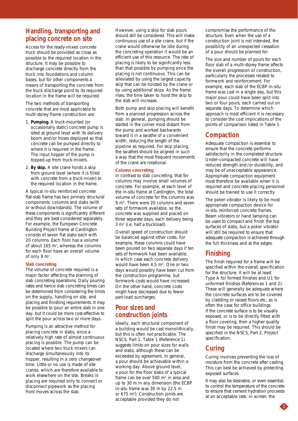#### **Handling, transporting and placing concrete on site**

Access for the ready-mixed concrete truck should be provided as close as possible to the required location in the structure. It may be possible to discharge concrete directly from the truck into foundations and column bases, but for other components a means of transporting the concrete from the truck discharge point to its required location in the frame will be required.

The two methods of transporting concrete that are most applicable to multi-storey frame construction are:

- 1. **Pumping.** A truck-mounted (or occasionally static) concrete pump is sited at ground level with its delivery boom and/or hoses deployed so that concrete can be pumped directly to where it is required in the frame. The input hopper of the pump is topped-up from truck-mixers.
- 2. **By skip.** A site crane hoists a skip from ground level (where it is filled with concrete from a truck-mixer) to the required location in the frame.

A typical in-situ reinforced concrete flat-slab frame has two primary structural components: columns and slabs (with or without downstands). The volume of these components is significantly different and they are best considered separately. For example, the European Concrete Building Project frame at Cardington consists of seven flat slabs each with 20 columns. Each floor has a volume of about  $165 \text{ m}^3$ , whereas the columns for each floor have an overall volume of only 9  $m^3$ .

#### **Slab concreting**

The volume of concrete required is a major factor affecting the planning of slab concreting operations. Daily pouring rates and hence slab concreting times can be determined from considering the limits on the supply, handling on site, and placing and finishing requirements. It may be possible to pour an entire slab in one day, but it could be more cost-effective to split the pour across two or more days.

Pumping is an attractive method for placing concrete in slabs, since a relatively high rate of almost continuous placing is possible. The pump can be located where two truck mixers can discharge simultaneously into its hopper, resulting in a zero changeover time. Little or no use is made of site cranes, which are therefore available to work elsewhere on the site. Breaks in placing are required only to connect or disconnect pipework as the placing front moves across the slab.

However, using a skip for slab pours should still be considered. This will make continuous use of a site crane, but if the crane would otherwise be idle during the concreting operation it would be an efficient use of this resource. The rate of placing is likely to be significantly less than that possible by pumping since the placing is not continuous. This can be alleviated by using the largest capacity skip that can be hoisted by the crane or by using additional skips. As the frame rises, the time taken to hoist the skip to the slab will increase.

Both pump and skip placing will benefit from a planned progression across the slab. In general, pumping should be started in the corner most distant from the pump and worked backwards toward it in a swathe of a convenient width, reducing the length of the pipeline as required. For skip placing, the swathes should be aligned in such a way that the most frequent movements of the crane are rotational.

#### **Column concreting**

In contrast to slab concreting, that for columns may involve small volumes of concrete. For example, at each level of the in-situ frame at Cardington, the total volume of concrete for the columns was 9 m3. There were 20 columns and seven sets of formwork available, so the concrete was supplied and placed on three separate days, each delivery being 3 m3 (i.e. half a truckload).

Overall speed of construction should be balanced against other costs. For example, these columns could have been poured on two separate days if ten sets of formwork had been available; in which case each concrete delivery would have been 4.5 m<sup>3</sup>. One or two days would possibly have been cut from the construction programme, but formwork costs would have increased. On the other hand, concrete costs might have decreased due to fewer part-load surcharges.

#### **Pour sizes and construction joints**

Ideally, each structural component of a building would be cast monolithically, but this is often not practicable. The NSCS, Part 1, Table 1 (Reference 1) suggests limits on pour sizes for walls and slabs, although these can be exceeded by agreement. In general, a pour should be achievable within a working day. Above ground level, a pour for the floor slabs of a typical frame can be over 500 m<sup>2</sup> in area and up to 30 m in any dimension (the ECBP in-situ frame was 30 m by 22.5 m or 675 m<sup>2</sup>). Construction joints are acceptable provided they do not

compromise the performance of the structure. Even when the use of a construction joint is not intended, the possibility of an unexpected cessation of a pour should be planned for.

The size and number of pours for each floor slab of a multi-storey frame affects the overall progression of construction, particularly the processes related to formwork and reinforcement. For example, each slab of the ECBP in-situ frame was cast in a single day, but this major pour could have been split into two or four pours, each carried out on separate days. To determine which approach is most efficient it is necessary to consider the cost implications of the points of comparison listed in Table 1.

## **Compaction**

Adequate compaction is essential to ensure that the concrete performs satisfactorily in the completed structure. Under-compacted concrete will have reduced strength and /or durability, and may be of unacceptable appearance. Appropriate compaction equipment must therefore be available when it is required and concrete-placing personnel should be trained to use it correctly

The poker vibrator is likely to be most appropriate compaction device for in-situ reinforced concrete frames. Beam vibrators or hand tamping can be used to compact and finish the top surfaces of slabs, but a poker vibrator will still be required to ensure that adequate compaction is achieved through the full thickness and at the edges.

## **Finishing**

The finish required for a frame will be specified within the overall specification for the structure. It will be at least Type A for formed finishes and U1 for unformed finishes (References 1 and 2). These will generally be adequate where the concrete surfaces are to be covered by cladding or raised floors etc, as is often the case for office buildings. If the concrete surface is to be visually exposed, or is to be directly fitted with a floor covering, then a higher quality finish may be required. This should be specified in the NSCS, Part 2, *Project specification*.

## **Curing**

Curing involves preventing the loss of moisture from the concrete after casting. This can best be achieved by protecting exposed surfaces.

It may also be desirable, or even essential, to control the temperature of the concrete to ensure that cement hydration proceeds at an acceptable rate. In winter, the